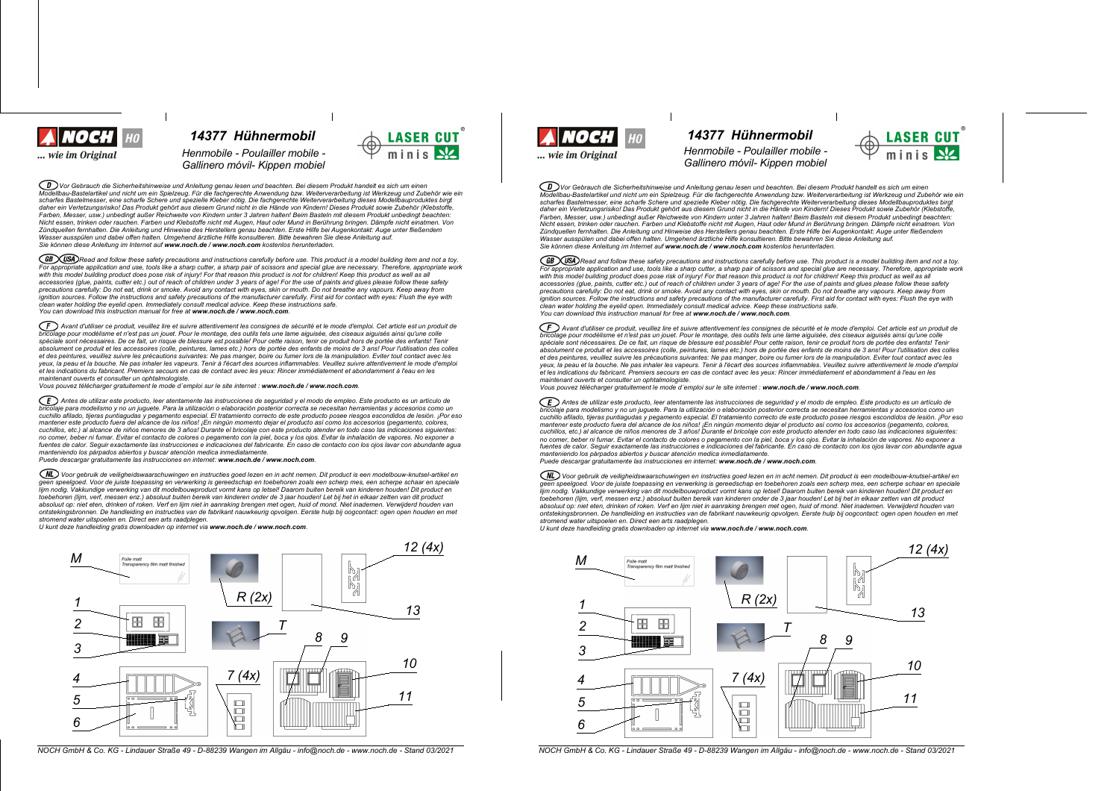

*14377 Hhnermobil 14377 Hhnermobil Henmobile - Poulailler mobile -*  $G$ allinero *móvil- Kippen mobiel* 

◯ᢧᢧѴѹ Gebrauch die Sicherheitshinweise und Anleitung genau lesen und beachten. Bei diesem Produkt handelt es sich um einen<br>Modellbau-Bastelartikel und nicht um ein Spielzeug. Für die fachgerechte Anwendung bzw. Weitervera scharfes Bastelmesser, eine scharfe Schere und spezielle Kleber nötig. Die fachgerechte Weiterverarbeitung dieses Modellbauproduktes birgt daher ein Verletzungsrisiko! Das Produkt gehört aus diesem Grund nicht in die Hände von Kindern! Dieses Produkt sowie Zubehör (Klebstoffe Farben, Messer, usw.) unbedingt außer Reichweite von Kindern unter 3 Jahren halten! Beim Basteln mit diesem Produkt unbedingt beachten: Nicht essen, trinken oder rauchen. Farben und Klebstoffe nicht mit Augen, Haut oder Mund in Berührung bringen. Dämpfe nicht einatmen. Von Zündquellen fernhalten. Die Anleitung und Hinweise des Herstellers genau beachten. Erste Hilfe bei Augenkontakt: Auge unter fließendem<br>Wasser ausspülen und dabei offen halten. Umgehend ärztliche Hilfe konsultieren. Bitte b *Sie k|nnen diese Anleitung im Internet auf www.noch.de / www.noch.com kostenlos herunterladen.*

(GB) (USA) Read and follow these safety precautions and instructions carefully before use. This product is a model building item and not a toy. For appropriate application and use, tools like a sharp cutter, a sharp pair of scissors and special glue are necessary. Therefore, appropriate work<br>with this model building product does pose risk of injury! For that reaso accessories (glue, paints, cutter etc.) out of reach of children under 3 years of age! For the use of paints and glues please follow these safety precautions carefully: Do not eat, drink or smoke. Avoid any contact with eyes, skin or mouth. Do not breathe any vapours. Keep away from<br>ignition sources. Follow the instructions and safety precautions of the manufacturer *clean water holding the eyelid open. Immediately consult medical advice. Keep these instructions safe. You can download this instruction manual for free at www.noch.de / www.noch.com.*

 $(F)$  Avant d'utiliser ce produit, veuillez lire et suivre attentivement les consignes de sécurité et le mode d'emploi. Cet article est un produit de bricolage pour modélisme et n'est pas un jouet. Pour le montage, des outils tels une lame aiguisée, des ciseaux aiguisés ainsi qu'une colle<br>spéciale sont nécessaires. De ce fait, un risque de blessure est possible! Pour ce absolument ce produit et les accessoires (colle, peintures, lames etc.) hors de portée des enfants de moins de 3 ans! Pour l'utilisation des colles et des peintures, veuillez suivre les précautions suivantes: Ne pas manger, boire ou fumer lors de la manipulation. Eviter tout contact avec les yeux, la peau et la bouche. Ne pas inhaler les vapeurs. Tenir à l'écart des sources inflammables. Veuillez suivre attentivement le mode d'emploi et les indications du fabricant. Premiers secours en cas de contact avec les yeux: Rincer immédiatement et abondamment à l'eau en les *maintenant ouverts et consulter un ophtalmologiste.*

*Vous pouvez tplpcharger gratuitement le mode demploi sur le site internet : www.noch.de / www.noch.com.*

ED Antes de utilizar este producto, leer atentamente las instrucciones de seguridad y el modo de empleo. Este producto es un artículo de brigado es un artículo de .<br>aje para modelismo y no un juquete. Para la utilización o elaboración posterior correcta se necesitan herramientas y accesorios como un cuchillo afilado, tijeras puntiagudas y pegamento especial. El tratamiento correcto de este producto posee riesgos escondidos de lesión. ¡Por eso mantener este producto fuera del alcance de los niños! ¡En ningún momento dejar el producto así como los accesorios (pegamento, colores,<br>cuchillos, etc.) al alcance de niños menores de 3 años! Durante el bricolaje con este no comer, beber ni fumar. Evitar el contacto de colores o pegamento con la piel, boca y los ojos. Evitar la inhalación de vapores. No exponer a fuentes de calor. Sequir exactamente las instrucciones e indicaciones del fabricante. En caso de contacto con los ojos lavar con abundante aqua manteniendo los párpados abiertos y buscar atención medica inmediatamente.<br>Puede descargar gratuitamente las instrucciones en internet: **www.noch.de / www.noch.com**.

(NL) Voor gebruik de veiligheidswaarschuwingen en instructies goed lezen en in acht nemen. Dit product is een modelbouw-knutsel-artikel en geen speelgoed. Voor de juiste toepassing en verwerking is gereedschap en toebehoren zoals een scherp mes, een scherpe schaar en speciale lijm nodig. Vakkundige verwerking van dit modelbouwproduct vormt kans op letsel! Daarom buiten bereik van kinderen houden! Dit product en<br>toebehoren (lijm, verf, messen enz.) absoluut buiten bereik van kinderen onder de 3 absoluut op: niet eten, drinken of roken. Verf en lijm niet in aanraking brengen met ogen, huid of mond. Niet inademen. Verwijderd houden van<br>ontstekingsbronnen. De handleiding en instructies van de fabrikant nauwkeurig op *stromend water uitspoelen en. Direct een arts raadplegen.*

*U kunt deze handleiding gratis downloaden op internet via www.noch.de / www.noch.com.*



NOCH GmbH & Co. KG - Lindauer Straße 49 - D-88239 Wangen im Allgäu - info@noch.de - www.noch.de - Stand 03/2021 NOCH GmbH & Co. KG - Lindauer Straße 49 - D-88239 Wangen im Allgäu - info@noch.de - Stand 03/2021



minis NZ

## *Henmobile - Poulailler mobile -*

 $G$ *allinero móvil- Kippen mobiel* 



 $\widehat{\mathcal{CD}}$  Vor Gebrauch die Sicherheitshinweise und Anleitung genau lesen und beachten. Bei diesem Produkt handelt es sich um einen Modellbau-Bastelartikel und nicht um ein Spielzeug. Für die fachgerechte Anwendung bzw. Weiterverarbeitung ist Werkzeug und Zubehör wie ein scharfes Bastelmesser, eine scharfe Schere und spezielle Kleber nötig. Die fachgerechte Weiterverarbeitung dieses Modellbauproduktes birgt surface product the surface of the surface of the surface of the surface of the surface of the surface of the surface of the surface of the surface of the surface of the surface of the surface of the surface of the surface Earben Messer, usw.) unbedindt außer Reichweite von Kindern unter 3. Jahren halten! Beim Basteln mit diesem Produkt unbedindt beachten: r auch, messel, am.y answering aussi recommence verranner in the seament nature. Seam in Berührung bringen. Dämpfe nicht einstmen. Von<br>Nicht essen, trinken oder rauchen. Farben und Klebstoffe nicht mit Augen. Haut oder Mun num social proposation control in a major control of the control of the control of the control of the control of the control of the control of the control of the control of the control of the control of the control of the Wasser ausspillen und dabei offen halten Umgehend ärztliche Hilfe konsultieren Bitte bewahren Sie diese Anleitung auf *Sie k|nnen diese Anleitung im Internet auf www.noch.de / www.noch.com kostenlos herunterladen.*

(GB) USA) Read and follow these safety precautions and instructions carefully before use. This product is a model building item and not a toy. For appropriate application and use, tools like a sharp culter, a sharp pair of scissors and special que are necessary. Therefore, appropriate work with this model building product does pose risk of injury! For that reason this product is not for children! Keep this product as well as all<br>accessories (glue, paints, cutter etc.) out of reach of children under 3 years o precautions carefully: Do not eat, drink or smoke. Avoid any contact with eyes, skin or mouth. Do not breathe any vapours. Keep away from<br>ignition sources. Follow the instructions and safety precautions of the manufacturer *clean water holding the eyelid open. Immediately consult medical advice. Keep these instructions safe. You can download this instruction manual for free at www.noch.de / www.noch.com.*

Avant d'utiliser ce produit, veuillez lire et suivre attentivement les consignes de sécurité et le mode d'emploi. Cet article est un produit de incolage pour modélisme et n'est pas un jouet. Pour le montage, des outils tels une lame aiguisée, des ciseaux aiguisés ainsi qu'une colle<br>Dricolage pour modélisme et n'est pas un jouet. Pour le montage, des outils tels un spéciale sont nécessaires. De ce fait, un risque de blessure est possible! Pour cette raison, tenir ce produit hors de portée des enfants! Tenir absolument ce produit et les accessoires (colle, peintures, lames etc.) hors de portée des enfants de moins de 3 ans! Pour l'utilisation des colles et des peintures, veuillez suivre les précautions suivantes: Ne pas manger, boire ou fumer lors de la manipulation. Eviter tout contact avec les veux, la peau et la bouche. Ne pas inhaler les vapeurs. Tenir à l'écart des sources inflammables. Veuillez suivre attentivement le mode d'emploi yeas, to pour et a society response to the main section of the second and the section of the simulations of the simulations of the simulations of the simulations of the simulations of the simulations of the second of the s *maintenant ouverts et consulter un ophtalmologiste.*

*Vous pouvez tplpcharger gratuitement le mode demploi sur le site internet : www.noch.de / www.noch.com.*

ED Antes de utilizar este producto, leer atentamente las instrucciones de seguridad y el modo de empleo. Este producto es un artículo de bricolaje para modelismo y no un juguete. Para la utilización o elaboración posterior correcta se necesitan herramientas y accesorios como un<br>cuchillo afilado, tijeras puntiagudas y pegamento especial. El tratamiento corre mantener este producto fuera del alcance de los niños! ¡En ningún momento dejar el producto así como los accesorios (pegamento, colores, cuchillos, etc.) al alcance de niños menores de 3 años! Durante el bricolaje con este producto atender en todo caso las indicaciones siguientes: no comer, beber ni fumar. Evitar el contacto de colores o pegamento con la piel, boca y los ojos. Evitar la inhalación de vanores. No exponer a no comparador in anha comparador de comparadores e producedos del fabricante. En caso de contacto con los ojos lavar con abundante agua<br>fuentes de calor. Seguir exactamente las instrucciones e indicaciones del fabricante. *manteniendo los pirpados abiertos y buscar atenciyn medica inmediatamente.*

*Puede descargar gratuitamente las instrucciones en internet: www.noch.de / www.noch.com.*

Voor gebruik de veiligheidswaarschuwingen en instructies goed lezen en in acht nemen. Dit product is een modelbouw-knutsel-artikel en<br>geen speelgoed. Voor de juiste toepassing en verwerking is gereedschap en toebehoren zo geon approximation of the comparative in vertical and the construction of the comparative in the comparative model of the comparative model of the comparative model of the comparative model of the comparative model of the toebehoren (lijm, verf, messen enz.) absoluut buiten bereik van kinderen onder de 3 jaar houden! Let bij het in elkaar zetten van dit product absoluut op: niet eten, drinken of roken. Verf en lijm niet in aanraking brengen met ogen, huid of mond. Niet inademen. Verwijderd houden van ontstekingsbronnen. De handleiding en instructies van de fabrikant nauwkeurig opvolgen. Eerste hulp bij oogcontact: ogen open houden en met *stromend water uitspoelen en. Direct een arts raadplegen.*

*U kunt deze handleiding gratis downloaden op internet via www.noch.de / www.noch.com.*